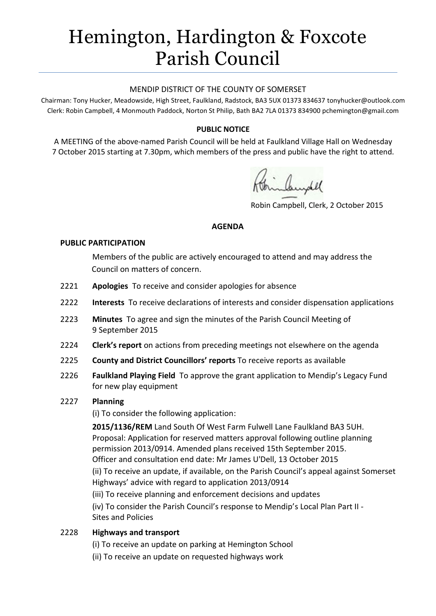# Hemington, Hardington & Foxcote Parish Council

#### MENDIP DISTRICT OF THE COUNTY OF SOMERSET

Chairman: Tony Hucker, Meadowside, High Street, Faulkland, Radstock, BA3 5UX 01373 834637 tonyhucker@outlook.com Clerk: Robin Campbell, 4 Monmouth Paddock, Norton St Philip, Bath BA2 7LA 01373 834900 [pchemington@gmail.com](mailto:pchemington@gmail.com)

## **PUBLIC NOTICE**

A MEETING of the above-named Parish Council will be held at Faulkland Village Hall on Wednesday 7 October 2015 starting at 7.30pm, which members of the press and public have the right to attend.

Robin Campbell, Clerk, 2 October 2015

#### **AGENDA**

#### **PUBLIC PARTICIPATION**

Members of the public are actively encouraged to attend and may address the Council on matters of concern.

- 2221 **Apologies** To receive and consider apologies for absence
- 2222 **Interests** To receive declarations of interests and consider dispensation applications
- 2223 **Minutes** To agree and sign the minutes of the Parish Council Meeting of 9 September 2015
- 2224 **Clerk's report** on actions from preceding meetings not elsewhere on the agenda
- 2225 **County and District Councillors' reports** To receive reports as available
- 2226 **Faulkland Playing Field** To approve the grant application to Mendip's Legacy Fund for new play equipment

## 2227 **Planning**

(i) To consider the following application:

**2015/1136/REM** Land South Of West Farm Fulwell Lane Faulkland BA3 5UH. Proposal: Application for reserved matters approval following outline planning permission 2013/0914. Amended plans received 15th September 2015. Officer and consultation end date: Mr James U'Dell, 13 October 2015 (ii) To receive an update, if available, on the Parish Council's appeal against Somerset Highways' advice with regard to application 2013/0914 (iii) To receive planning and enforcement decisions and updates (iv) To consider the Parish Council's response to Mendip's Local Plan Part II - Sites and Policies

## 2228 **Highways and transport**

- (i) To receive an update on parking at Hemington School
- (ii) To receive an update on requested highways work